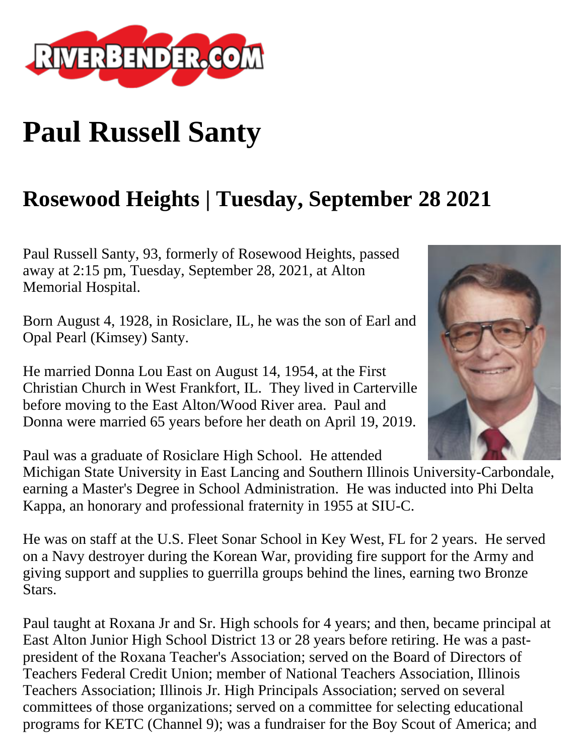

## **Paul Russell Santy**

## **Rosewood Heights | Tuesday, September 28 2021**

Paul Russell Santy, 93, formerly of Rosewood Heights, passed away at 2:15 pm, Tuesday, September 28, 2021, at Alton Memorial Hospital.

Born August 4, 1928, in Rosiclare, IL, he was the son of Earl and Opal Pearl (Kimsey) Santy.

He married Donna Lou East on August 14, 1954, at the First Christian Church in West Frankfort, IL. They lived in Carterville before moving to the East Alton/Wood River area. Paul and Donna were married 65 years before her death on April 19, 2019.



Paul was a graduate of Rosiclare High School. He attended

Michigan State University in East Lancing and Southern Illinois University-Carbondale, earning a Master's Degree in School Administration. He was inducted into Phi Delta Kappa, an honorary and professional fraternity in 1955 at SIU-C.

He was on staff at the U.S. Fleet Sonar School in Key West, FL for 2 years. He served on a Navy destroyer during the Korean War, providing fire support for the Army and giving support and supplies to guerrilla groups behind the lines, earning two Bronze Stars.

Paul taught at Roxana Jr and Sr. High schools for 4 years; and then, became principal at East Alton Junior High School District 13 or 28 years before retiring. He was a pastpresident of the Roxana Teacher's Association; served on the Board of Directors of Teachers Federal Credit Union; member of National Teachers Association, Illinois Teachers Association; Illinois Jr. High Principals Association; served on several committees of those organizations; served on a committee for selecting educational programs for KETC (Channel 9); was a fundraiser for the Boy Scout of America; and